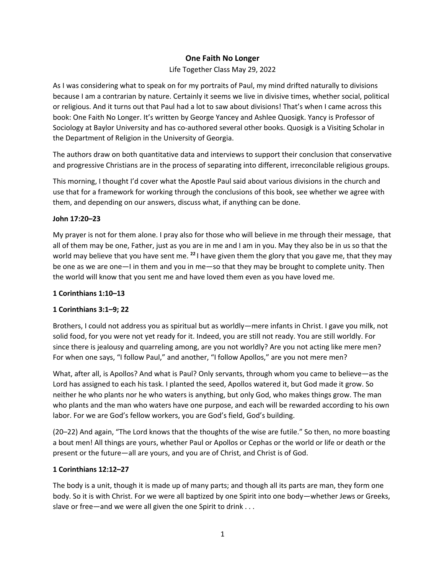## **One Faith No Longer**

Life Together Class May 29, 2022

As I was considering what to speak on for my portraits of Paul, my mind drifted naturally to divisions because I am a contrarian by nature. Certainly it seems we live in divisive times, whether social, political or religious. And it turns out that Paul had a lot to saw about divisions! That's when I came across this book: One Faith No Longer. It's written by George Yancey and Ashlee Quosigk. Yancy is Professor of Sociology at Baylor University and has co-authored several other books. Quosigk is a Visiting Scholar in the Department of Religion in the University of Georgia.

The authors draw on both quantitative data and interviews to support their conclusion that conservative and progressive Christians are in the process of separating into different, irreconcilable religious groups.

This morning, I thought I'd cover what the Apostle Paul said about various divisions in the church and use that for a framework for working through the conclusions of this book, see whether we agree with them, and depending on our answers, discuss what, if anything can be done.

#### **John 17:20–23**

My prayer is not for them alone. I pray also for those who will believe in me through their message, that all of them may be one, Father, just as you are in me and I am in you. May they also be in us so that the world may believe that you have sent me. **<sup>22</sup>** I have given them the glory that you gave me, that they may be one as we are one—I in them and you in me—so that they may be brought to complete unity. Then the world will know that you sent me and have loved them even as you have loved me.

#### **1 Corinthians 1:10–13**

## **1 Corinthians 3:1–9; 22**

Brothers, I could not address you as spiritual but as worldly—mere infants in Christ. I gave you milk, not solid food, for you were not yet ready for it. Indeed, you are still not ready. You are still worldly. For since there is jealousy and quarreling among, are you not worldly? Are you not acting like mere men? For when one says, "I follow Paul," and another, "I follow Apollos," are you not mere men?

What, after all, is Apollos? And what is Paul? Only servants, through whom you came to believe—as the Lord has assigned to each his task. I planted the seed, Apollos watered it, but God made it grow. So neither he who plants nor he who waters is anything, but only God, who makes things grow. The man who plants and the man who waters have one purpose, and each will be rewarded according to his own labor. For we are God's fellow workers, you are God's field, God's building.

(20–22) And again, "The Lord knows that the thoughts of the wise are futile." So then, no more boasting a bout men! All things are yours, whether Paul or Apollos or Cephas or the world or life or death or the present or the future—all are yours, and you are of Christ, and Christ is of God.

#### **1 Corinthians 12:12–27**

The body is a unit, though it is made up of many parts; and though all its parts are man, they form one body. So it is with Christ. For we were all baptized by one Spirit into one body—whether Jews or Greeks, slave or free—and we were all given the one Spirit to drink . . .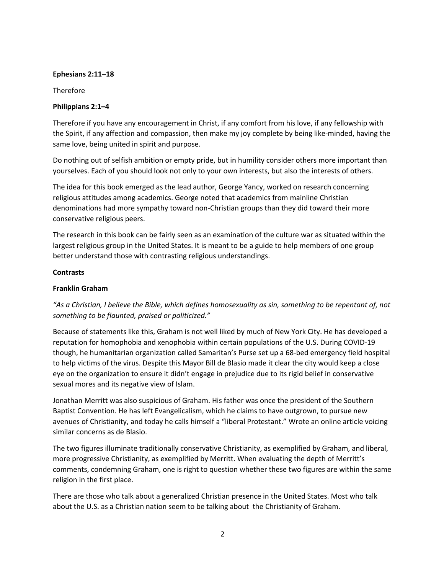#### **Ephesians 2:11–18**

Therefore

#### **Philippians 2:1–4**

Therefore if you have any encouragement in Christ, if any comfort from his love, if any fellowship with the Spirit, if any affection and compassion, then make my joy complete by being like-minded, having the same love, being united in spirit and purpose.

Do nothing out of selfish ambition or empty pride, but in humility consider others more important than yourselves. Each of you should look not only to your own interests, but also the interests of others.

The idea for this book emerged as the lead author, George Yancy, worked on research concerning religious attitudes among academics. George noted that academics from mainline Christian denominations had more sympathy toward non-Christian groups than they did toward their more conservative religious peers.

The research in this book can be fairly seen as an examination of the culture war as situated within the largest religious group in the United States. It is meant to be a guide to help members of one group better understand those with contrasting religious understandings.

#### **Contrasts**

#### **Franklin Graham**

*"As a Christian, I believe the Bible, which defines homosexuality as sin, something to be repentant of, not something to be flaunted, praised or politicized."*

Because of statements like this, Graham is not well liked by much of New York City. He has developed a reputation for homophobia and xenophobia within certain populations of the U.S. During COVID-19 though, he humanitarian organization called Samaritan's Purse set up a 68-bed emergency field hospital to help victims of the virus. Despite this Mayor Bill de Blasio made it clear the city would keep a close eye on the organization to ensure it didn't engage in prejudice due to its rigid belief in conservative sexual mores and its negative view of Islam.

Jonathan Merritt was also suspicious of Graham. His father was once the president of the Southern Baptist Convention. He has left Evangelicalism, which he claims to have outgrown, to pursue new avenues of Christianity, and today he calls himself a "liberal Protestant." Wrote an online article voicing similar concerns as de Blasio.

The two figures illuminate traditionally conservative Christianity, as exemplified by Graham, and liberal, more progressive Christianity, as exemplified by Merritt. When evaluating the depth of Merritt's comments, condemning Graham, one is right to question whether these two figures are within the same religion in the first place.

There are those who talk about a generalized Christian presence in the United States. Most who talk about the U.S. as a Christian nation seem to be talking about the Christianity of Graham.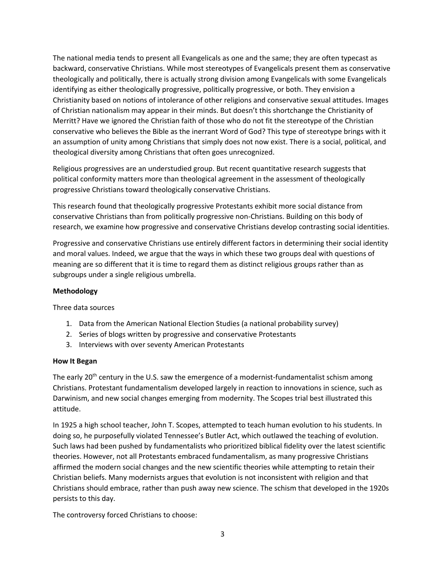The national media tends to present all Evangelicals as one and the same; they are often typecast as backward, conservative Christians. While most stereotypes of Evangelicals present them as conservative theologically and politically, there is actually strong division among Evangelicals with some Evangelicals identifying as either theologically progressive, politically progressive, or both. They envision a Christianity based on notions of intolerance of other religions and conservative sexual attitudes. Images of Christian nationalism may appear in their minds. But doesn't this shortchange the Christianity of Merritt? Have we ignored the Christian faith of those who do not fit the stereotype of the Christian conservative who believes the Bible as the inerrant Word of God? This type of stereotype brings with it an assumption of unity among Christians that simply does not now exist. There is a social, political, and theological diversity among Christians that often goes unrecognized.

Religious progressives are an understudied group. But recent quantitative research suggests that political conformity matters more than theological agreement in the assessment of theologically progressive Christians toward theologically conservative Christians.

This research found that theologically progressive Protestants exhibit more social distance from conservative Christians than from politically progressive non-Christians. Building on this body of research, we examine how progressive and conservative Christians develop contrasting social identities.

Progressive and conservative Christians use entirely different factors in determining their social identity and moral values. Indeed, we argue that the ways in which these two groups deal with questions of meaning are so different that it is time to regard them as distinct religious groups rather than as subgroups under a single religious umbrella.

#### **Methodology**

Three data sources

- 1. Data from the American National Election Studies (a national probability survey)
- 2. Series of blogs written by progressive and conservative Protestants
- 3. Interviews with over seventy American Protestants

#### **How It Began**

The early 20<sup>th</sup> century in the U.S. saw the emergence of a modernist-fundamentalist schism among Christians. Protestant fundamentalism developed largely in reaction to innovations in science, such as Darwinism, and new social changes emerging from modernity. The Scopes trial best illustrated this attitude.

In 1925 a high school teacher, John T. Scopes, attempted to teach human evolution to his students. In doing so, he purposefully violated Tennessee's Butler Act, which outlawed the teaching of evolution. Such laws had been pushed by fundamentalists who prioritized biblical fidelity over the latest scientific theories. However, not all Protestants embraced fundamentalism, as many progressive Christians affirmed the modern social changes and the new scientific theories while attempting to retain their Christian beliefs. Many modernists argues that evolution is not inconsistent with religion and that Christians should embrace, rather than push away new science. The schism that developed in the 1920s persists to this day.

The controversy forced Christians to choose: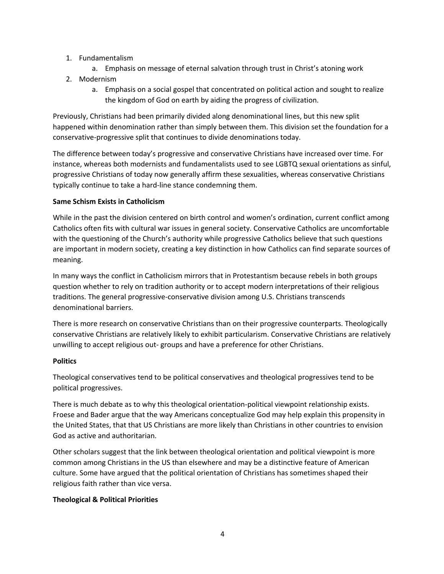- 1. Fundamentalism
	- a. Emphasis on message of eternal salvation through trust in Christ's atoning work
- 2. Modernism
	- a. Emphasis on a social gospel that concentrated on political action and sought to realize the kingdom of God on earth by aiding the progress of civilization.

Previously, Christians had been primarily divided along denominational lines, but this new split happened within denomination rather than simply between them. This division set the foundation for a conservative-progressive split that continues to divide denominations today.

The difference between today's progressive and conservative Christians have increased over time. For instance, whereas both modernists and fundamentalists used to see LGBTQ sexual orientations as sinful, progressive Christians of today now generally affirm these sexualities, whereas conservative Christians typically continue to take a hard-line stance condemning them.

### **Same Schism Exists in Catholicism**

While in the past the division centered on birth control and women's ordination, current conflict among Catholics often fits with cultural war issues in general society. Conservative Catholics are uncomfortable with the questioning of the Church's authority while progressive Catholics believe that such questions are important in modern society, creating a key distinction in how Catholics can find separate sources of meaning.

In many ways the conflict in Catholicism mirrors that in Protestantism because rebels in both groups question whether to rely on tradition authority or to accept modern interpretations of their religious traditions. The general progressive-conservative division among U.S. Christians transcends denominational barriers.

There is more research on conservative Christians than on their progressive counterparts. Theologically conservative Christians are relatively likely to exhibit particularism. Conservative Christians are relatively unwilling to accept religious out- groups and have a preference for other Christians.

#### **Politics**

Theological conservatives tend to be political conservatives and theological progressives tend to be political progressives.

There is much debate as to why this theological orientation-political viewpoint relationship exists. Froese and Bader argue that the way Americans conceptualize God may help explain this propensity in the United States, that that US Christians are more likely than Christians in other countries to envision God as active and authoritarian.

Other scholars suggest that the link between theological orientation and political viewpoint is more common among Christians in the US than elsewhere and may be a distinctive feature of American culture. Some have argued that the political orientation of Christians has sometimes shaped their religious faith rather than vice versa.

#### **Theological & Political Priorities**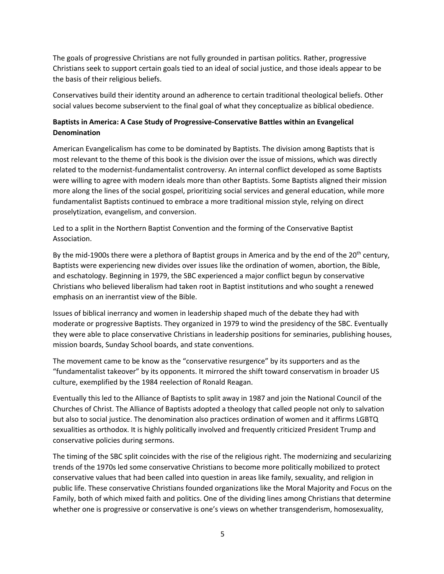The goals of progressive Christians are not fully grounded in partisan politics. Rather, progressive Christians seek to support certain goals tied to an ideal of social justice, and those ideals appear to be the basis of their religious beliefs.

Conservatives build their identity around an adherence to certain traditional theological beliefs. Other social values become subservient to the final goal of what they conceptualize as biblical obedience.

# **Baptists in America: A Case Study of Progressive-Conservative Battles within an Evangelical Denomination**

American Evangelicalism has come to be dominated by Baptists. The division among Baptists that is most relevant to the theme of this book is the division over the issue of missions, which was directly related to the modernist-fundamentalist controversy. An internal conflict developed as some Baptists were willing to agree with modern ideals more than other Baptists. Some Baptists aligned their mission more along the lines of the social gospel, prioritizing social services and general education, while more fundamentalist Baptists continued to embrace a more traditional mission style, relying on direct proselytization, evangelism, and conversion.

Led to a split in the Northern Baptist Convention and the forming of the Conservative Baptist Association.

By the mid-1900s there were a plethora of Baptist groups in America and by the end of the 20<sup>th</sup> century, Baptists were experiencing new divides over issues like the ordination of women, abortion, the Bible, and eschatology. Beginning in 1979, the SBC experienced a major conflict begun by conservative Christians who believed liberalism had taken root in Baptist institutions and who sought a renewed emphasis on an inerrantist view of the Bible.

Issues of biblical inerrancy and women in leadership shaped much of the debate they had with moderate or progressive Baptists. They organized in 1979 to wind the presidency of the SBC. Eventually they were able to place conservative Christians in leadership positions for seminaries, publishing houses, mission boards, Sunday School boards, and state conventions.

The movement came to be know as the "conservative resurgence" by its supporters and as the "fundamentalist takeover" by its opponents. It mirrored the shift toward conservatism in broader US culture, exemplified by the 1984 reelection of Ronald Reagan.

Eventually this led to the Alliance of Baptists to split away in 1987 and join the National Council of the Churches of Christ. The Alliance of Baptists adopted a theology that called people not only to salvation but also to social justice. The denomination also practices ordination of women and it affirms LGBTQ sexualities as orthodox. It is highly politically involved and frequently criticized President Trump and conservative policies during sermons.

The timing of the SBC split coincides with the rise of the religious right. The modernizing and secularizing trends of the 1970s led some conservative Christians to become more politically mobilized to protect conservative values that had been called into question in areas like family, sexuality, and religion in public life. These conservative Christians founded organizations like the Moral Majority and Focus on the Family, both of which mixed faith and politics. One of the dividing lines among Christians that determine whether one is progressive or conservative is one's views on whether transgenderism, homosexuality,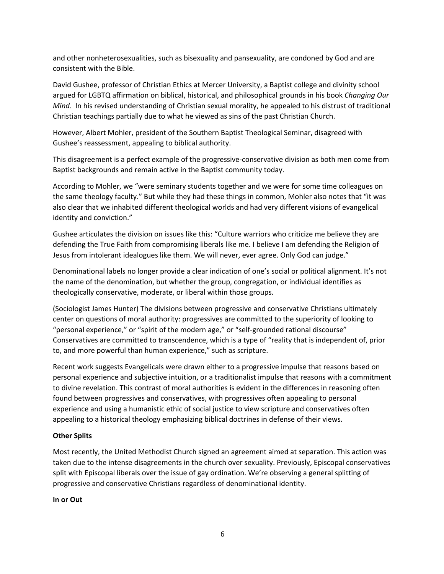and other nonheterosexualities, such as bisexuality and pansexuality, are condoned by God and are consistent with the Bible.

David Gushee, professor of Christian Ethics at Mercer University, a Baptist college and divinity school argued for LGBTQ affirmation on biblical, historical, and philosophical grounds in his book *Changing Our Mind*. In his revised understanding of Christian sexual morality, he appealed to his distrust of traditional Christian teachings partially due to what he viewed as sins of the past Christian Church.

However, Albert Mohler, president of the Southern Baptist Theological Seminar, disagreed with Gushee's reassessment, appealing to biblical authority.

This disagreement is a perfect example of the progressive-conservative division as both men come from Baptist backgrounds and remain active in the Baptist community today.

According to Mohler, we "were seminary students together and we were for some time colleagues on the same theology faculty." But while they had these things in common, Mohler also notes that "it was also clear that we inhabited different theological worlds and had very different visions of evangelical identity and conviction."

Gushee articulates the division on issues like this: "Culture warriors who criticize me believe they are defending the True Faith from compromising liberals like me. I believe I am defending the Religion of Jesus from intolerant idealogues like them. We will never, ever agree. Only God can judge."

Denominational labels no longer provide a clear indication of one's social or political alignment. It's not the name of the denomination, but whether the group, congregation, or individual identifies as theologically conservative, moderate, or liberal within those groups.

(Sociologist James Hunter) The divisions between progressive and conservative Christians ultimately center on questions of moral authority: progressives are committed to the superiority of looking to "personal experience," or "spirit of the modern age," or "self-grounded rational discourse" Conservatives are committed to transcendence, which is a type of "reality that is independent of, prior to, and more powerful than human experience," such as scripture.

Recent work suggests Evangelicals were drawn either to a progressive impulse that reasons based on personal experience and subjective intuition, or a traditionalist impulse that reasons with a commitment to divine revelation. This contrast of moral authorities is evident in the differences in reasoning often found between progressives and conservatives, with progressives often appealing to personal experience and using a humanistic ethic of social justice to view scripture and conservatives often appealing to a historical theology emphasizing biblical doctrines in defense of their views.

#### **Other Splits**

Most recently, the United Methodist Church signed an agreement aimed at separation. This action was taken due to the intense disagreements in the church over sexuality. Previously, Episcopal conservatives split with Episcopal liberals over the issue of gay ordination. We're observing a general splitting of progressive and conservative Christians regardless of denominational identity.

**In or Out**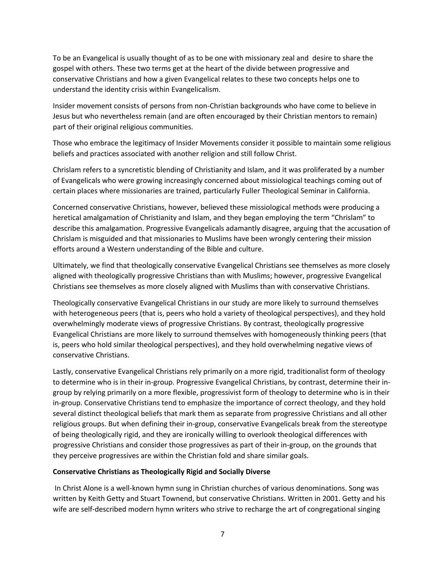To be an Evangelical is usually thought of as to be one with missionary zeal and desire to share the gospel with others. These two terms get at the heart of the divide between progressive and conservative Christians and how a given Evangelical relates to these two concepts helps one to understand the identity crisis within Evangelicalism.

Insider movement consists of persons from non-Christian backgrounds who have come to believe in Jesus but who nevertheless remain (and are often encouraged by their Christian mentors to remain) part of their original religious communities.

Those who embrace the legitimacy of Insider Movements consider it possible to maintain some religious beliefs and practices associated with another religion and still follow Christ.

Chrislam refers to a syncretistic blending of Christianity and Islam, and it was proliferated by a number of Evangelicals who were growing increasingly concerned about missiological teachings coming out of certain places where missionaries are trained, particularly Fuller Theological Seminar in California.

Concerned conservative Christians, however, believed these missiological methods were producing a heretical amalgamation of Christianity and Islam, and they began employing the term "Chrislam" to describe this amalgamation. Progressive Evangelicals adamantly disagree, arguing that the accusation of Chrislam is misguided and that missionaries to Muslims have been wrongly centering their mission efforts around a Western understanding of the Bible and culture.

Ultimately, we find that theologically conservative Evangelical Christians see themselves as more closely aligned with theologically progressive Christians than with Muslims; however, progressive Evangelical Christians see themselves as more closely aligned with Muslims than with conservative Christians.

Theologically conservative Evangelical Christians in our study are more likely to surround themselves with heterogeneous peers (that is, peers who hold a variety of theological perspectives), and they hold overwhelmingly moderate views of progressive Christians. By contrast, theologically progressive Evangelical Christians are more likely to surround themselves with homogeneously thinking peers (that is, peers who hold similar theological perspectives), and they hold overwhelming negative views of conservative Christians.

Lastly, conservative Evangelical Christians rely primarily on a more rigid, traditionalist form of theology to determine who is in their in-group. Progressive Evangelical Christians, by contrast, determine their ingroup by relying primarily on a more flexible, progressivist form of theology to determine who is in their in-group. Conservative Christians tend to emphasize the importance of correct theology, and they hold several distinct theological beliefs that mark them as separate from progressive Christians and all other religious groups. But when defining their in-group, conservative Evangelicals break from the stereotype of being theologically rigid, and they are ironically willing to overlook theological differences with progressive Christians and consider those progressives as part of their in-group, on the grounds that they perceive progressives are within the Christian fold and share similar goals.

#### **Conservative Christians as Theologically Rigid and Socially Diverse**

In Christ Alone is a well-known hymn sung in Christian churches of various denominations. Song was written by Keith Getty and Stuart Townend, but conservative Christians. Written in 2001. Getty and his wife are self-described modern hymn writers who strive to recharge the art of congregational singing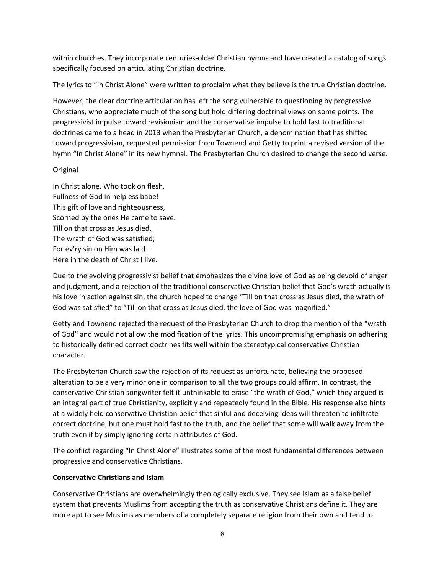within churches. They incorporate centuries-older Christian hymns and have created a catalog of songs specifically focused on articulating Christian doctrine.

The lyrics to "In Christ Alone" were written to proclaim what they believe is the true Christian doctrine.

However, the clear doctrine articulation has left the song vulnerable to questioning by progressive Christians, who appreciate much of the song but hold differing doctrinal views on some points. The progressivist impulse toward revisionism and the conservative impulse to hold fast to traditional doctrines came to a head in 2013 when the Presbyterian Church, a denomination that has shifted toward progressivism, requested permission from Townend and Getty to print a revised version of the hymn "In Christ Alone" in its new hymnal. The Presbyterian Church desired to change the second verse.

### Original

In Christ alone, Who took on flesh, Fullness of God in helpless babe! This gift of love and righteousness, Scorned by the ones He came to save. Till on that cross as Jesus died, The wrath of God was satisfied; For ev'ry sin on Him was laid— Here in the death of Christ I live.

Due to the evolving progressivist belief that emphasizes the divine love of God as being devoid of anger and judgment, and a rejection of the traditional conservative Christian belief that God's wrath actually is his love in action against sin, the church hoped to change "Till on that cross as Jesus died, the wrath of God was satisfied" to "Till on that cross as Jesus died, the love of God was magnified."

Getty and Townend rejected the request of the Presbyterian Church to drop the mention of the "wrath of God" and would not allow the modification of the lyrics. This uncompromising emphasis on adhering to historically defined correct doctrines fits well within the stereotypical conservative Christian character.

The Presbyterian Church saw the rejection of its request as unfortunate, believing the proposed alteration to be a very minor one in comparison to all the two groups could affirm. In contrast, the conservative Christian songwriter felt it unthinkable to erase "the wrath of God," which they argued is an integral part of true Christianity, explicitly and repeatedly found in the Bible. His response also hints at a widely held conservative Christian belief that sinful and deceiving ideas will threaten to infiltrate correct doctrine, but one must hold fast to the truth, and the belief that some will walk away from the truth even if by simply ignoring certain attributes of God.

The conflict regarding "In Christ Alone" illustrates some of the most fundamental differences between progressive and conservative Christians.

## **Conservative Christians and Islam**

Conservative Christians are overwhelmingly theologically exclusive. They see Islam as a false belief system that prevents Muslims from accepting the truth as conservative Christians define it. They are more apt to see Muslims as members of a completely separate religion from their own and tend to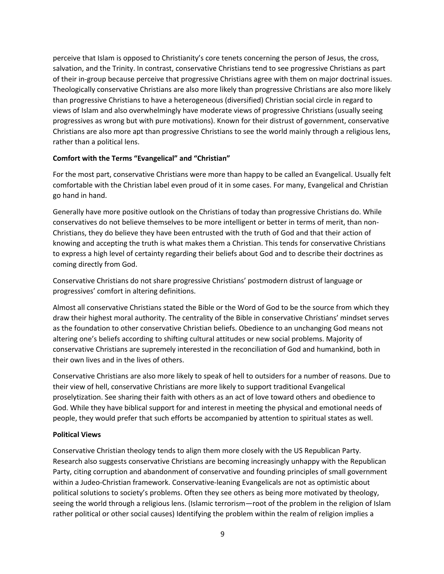perceive that Islam is opposed to Christianity's core tenets concerning the person of Jesus, the cross, salvation, and the Trinity. In contrast, conservative Christians tend to see progressive Christians as part of their in-group because perceive that progressive Christians agree with them on major doctrinal issues. Theologically conservative Christians are also more likely than progressive Christians are also more likely than progressive Christians to have a heterogeneous (diversified) Christian social circle in regard to views of Islam and also overwhelmingly have moderate views of progressive Christians (usually seeing progressives as wrong but with pure motivations). Known for their distrust of government, conservative Christians are also more apt than progressive Christians to see the world mainly through a religious lens, rather than a political lens.

#### **Comfort with the Terms "Evangelical" and "Christian"**

For the most part, conservative Christians were more than happy to be called an Evangelical. Usually felt comfortable with the Christian label even proud of it in some cases. For many, Evangelical and Christian go hand in hand.

Generally have more positive outlook on the Christians of today than progressive Christians do. While conservatives do not believe themselves to be more intelligent or better in terms of merit, than non-Christians, they do believe they have been entrusted with the truth of God and that their action of knowing and accepting the truth is what makes them a Christian. This tends for conservative Christians to express a high level of certainty regarding their beliefs about God and to describe their doctrines as coming directly from God.

Conservative Christians do not share progressive Christians' postmodern distrust of language or progressives' comfort in altering definitions.

Almost all conservative Christians stated the Bible or the Word of God to be the source from which they draw their highest moral authority. The centrality of the Bible in conservative Christians' mindset serves as the foundation to other conservative Christian beliefs. Obedience to an unchanging God means not altering one's beliefs according to shifting cultural attitudes or new social problems. Majority of conservative Christians are supremely interested in the reconciliation of God and humankind, both in their own lives and in the lives of others.

Conservative Christians are also more likely to speak of hell to outsiders for a number of reasons. Due to their view of hell, conservative Christians are more likely to support traditional Evangelical proselytization. See sharing their faith with others as an act of love toward others and obedience to God. While they have biblical support for and interest in meeting the physical and emotional needs of people, they would prefer that such efforts be accompanied by attention to spiritual states as well.

## **Political Views**

Conservative Christian theology tends to align them more closely with the US Republican Party. Research also suggests conservative Christians are becoming increasingly unhappy with the Republican Party, citing corruption and abandonment of conservative and founding principles of small government within a Judeo-Christian framework. Conservative-leaning Evangelicals are not as optimistic about political solutions to society's problems. Often they see others as being more motivated by theology, seeing the world through a religious lens. (Islamic terrorism—root of the problem in the religion of Islam rather political or other social causes) Identifying the problem within the realm of religion implies a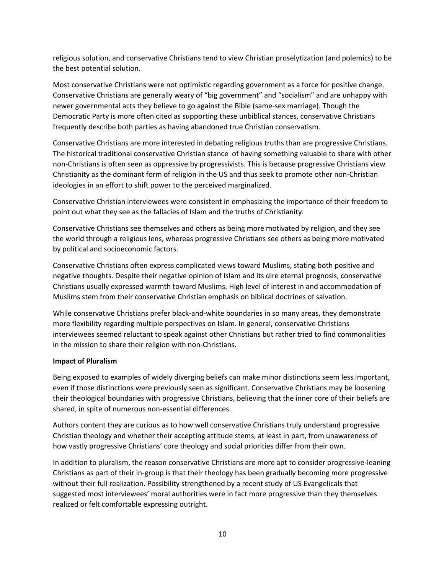religious solution, and conservative Christians tend to view Christian proselytization (and polemics) to be the best potential solution.

Most conservative Christians were not optimistic regarding government as a force for positive change. Conservative Christians are generally weary of "big government" and "socialism" and are unhappy with newer governmental acts they believe to go against the Bible (same-sex marriage). Though the Democratic Party is more often cited as supporting these unbiblical stances, conservative Christians frequently describe both parties as having abandoned true Christian conservatism.

Conservative Christians are more interested in debating religious truths than are progressive Christians. The historical traditional conservative Christian stance of having something valuable to share with other non-Christians is often seen as oppressive by progressivists. This is because progressive Christians view Christianity as the dominant form of religion in the US and thus seek to promote other non-Christian ideologies in an effort to shift power to the perceived marginalized.

Conservative Christian interviewees were consistent in emphasizing the importance of their freedom to point out what they see as the fallacies of Islam and the truths of Christianity.

Conservative Christians see themselves and others as being more motivated by religion, and they see the world through a religious lens, whereas progressive Christians see others as being more motivated by political and socioeconomic factors.

Conservative Christians often express complicated views toward Muslims, stating both positive and negative thoughts. Despite their negative opinion of Islam and its dire eternal prognosis, conservative Christians usually expressed warmth toward Muslims. High level of interest in and accommodation of Muslims stem from their conservative Christian emphasis on biblical doctrines of salvation.

While conservative Christians prefer black-and-white boundaries in so many areas, they demonstrate more flexibility regarding multiple perspectives on Islam. In general, conservative Christians interviewees seemed reluctant to speak against other Christians but rather tried to find commonalities in the mission to share their religion with non-Christians.

#### **Impact of Pluralism**

Being exposed to examples of widely diverging beliefs can make minor distinctions seem less important, even if those distinctions were previously seen as significant. Conservative Christians may be loosening their theological boundaries with progressive Christians, believing that the inner core of their beliefs are shared, in spite of numerous non-essential differences.

Authors content they are curious as to how well conservative Christians truly understand progressive Christian theology and whether their accepting attitude stems, at least in part, from unawareness of how vastly progressive Christians' core theology and social priorities differ from their own.

In addition to pluralism, the reason conservative Christians are more apt to consider progressive-leaning Christians as part of their in-group is that their theology has been gradually becoming more progressive without their full realization. Possibility strengthened by a recent study of US Evangelicals that suggested most interviewees' moral authorities were in fact more progressive than they themselves realized or felt comfortable expressing outright.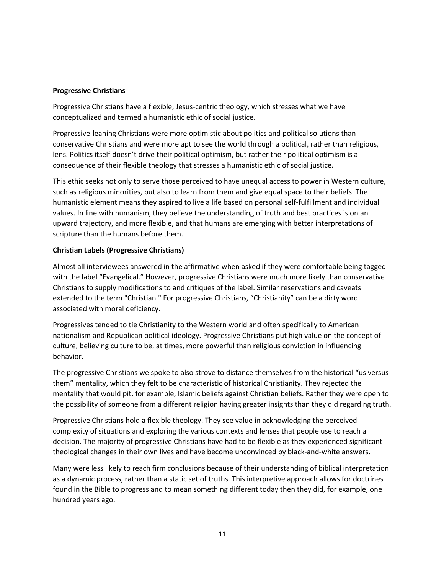#### **Progressive Christians**

Progressive Christians have a flexible, Jesus-centric theology, which stresses what we have conceptualized and termed a humanistic ethic of social justice.

Progressive-leaning Christians were more optimistic about politics and political solutions than conservative Christians and were more apt to see the world through a political, rather than religious, lens. Politics itself doesn't drive their political optimism, but rather their political optimism is a consequence of their flexible theology that stresses a humanistic ethic of social justice.

This ethic seeks not only to serve those perceived to have unequal access to power in Western culture, such as religious minorities, but also to learn from them and give equal space to their beliefs. The humanistic element means they aspired to live a life based on personal self-fulfillment and individual values. In line with humanism, they believe the understanding of truth and best practices is on an upward trajectory, and more flexible, and that humans are emerging with better interpretations of scripture than the humans before them.

## **Christian Labels (Progressive Christians)**

Almost all interviewees answered in the affirmative when asked if they were comfortable being tagged with the label "Evangelical." However, progressive Christians were much more likely than conservative Christians to supply modifications to and critiques of the label. Similar reservations and caveats extended to the term "Christian." For progressive Christians, "Christianity" can be a dirty word associated with moral deficiency.

Progressives tended to tie Christianity to the Western world and often specifically to American nationalism and Republican political ideology. Progressive Christians put high value on the concept of culture, believing culture to be, at times, more powerful than religious conviction in influencing behavior.

The progressive Christians we spoke to also strove to distance themselves from the historical "us versus them" mentality, which they felt to be characteristic of historical Christianity. They rejected the mentality that would pit, for example, Islamic beliefs against Christian beliefs. Rather they were open to the possibility of someone from a different religion having greater insights than they did regarding truth.

Progressive Christians hold a flexible theology. They see value in acknowledging the perceived complexity of situations and exploring the various contexts and lenses that people use to reach a decision. The majority of progressive Christians have had to be flexible as they experienced significant theological changes in their own lives and have become unconvinced by black-and-white answers.

Many were less likely to reach firm conclusions because of their understanding of biblical interpretation as a dynamic process, rather than a static set of truths. This interpretive approach allows for doctrines found in the Bible to progress and to mean something different today then they did, for example, one hundred years ago.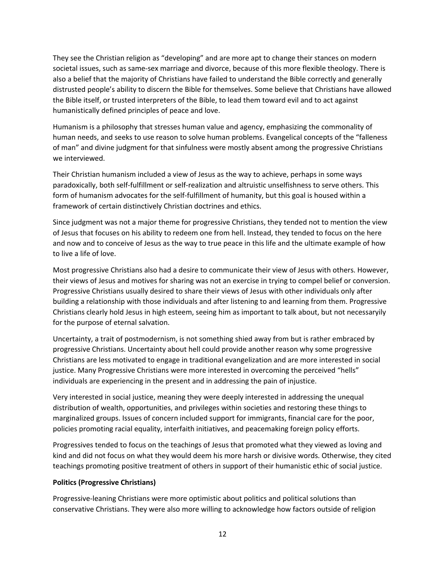They see the Christian religion as "developing" and are more apt to change their stances on modern societal issues, such as same-sex marriage and divorce, because of this more flexible theology. There is also a belief that the majority of Christians have failed to understand the Bible correctly and generally distrusted people's ability to discern the Bible for themselves. Some believe that Christians have allowed the Bible itself, or trusted interpreters of the Bible, to lead them toward evil and to act against humanistically defined principles of peace and love.

Humanism is a philosophy that stresses human value and agency, emphasizing the commonality of human needs, and seeks to use reason to solve human problems. Evangelical concepts of the "falleness of man" and divine judgment for that sinfulness were mostly absent among the progressive Christians we interviewed.

Their Christian humanism included a view of Jesus as the way to achieve, perhaps in some ways paradoxically, both self-fulfillment or self-realization and altruistic unselfishness to serve others. This form of humanism advocates for the self-fulfillment of humanity, but this goal is housed within a framework of certain distinctively Christian doctrines and ethics.

Since judgment was not a major theme for progressive Christians, they tended not to mention the view of Jesus that focuses on his ability to redeem one from hell. Instead, they tended to focus on the here and now and to conceive of Jesus as the way to true peace in this life and the ultimate example of how to live a life of love.

Most progressive Christians also had a desire to communicate their view of Jesus with others. However, their views of Jesus and motives for sharing was not an exercise in trying to compel belief or conversion. Progressive Christians usually desired to share their views of Jesus with other individuals only after building a relationship with those individuals and after listening to and learning from them. Progressive Christians clearly hold Jesus in high esteem, seeing him as important to talk about, but not necessaryily for the purpose of eternal salvation.

Uncertainty, a trait of postmodernism, is not something shied away from but is rather embraced by progressive Christians. Uncertainty about hell could provide another reason why some progressive Christians are less motivated to engage in traditional evangelization and are more interested in social justice. Many Progressive Christians were more interested in overcoming the perceived "hells" individuals are experiencing in the present and in addressing the pain of injustice.

Very interested in social justice, meaning they were deeply interested in addressing the unequal distribution of wealth, opportunities, and privileges within societies and restoring these things to marginalized groups. Issues of concern included support for immigrants, financial care for the poor, policies promoting racial equality, interfaith initiatives, and peacemaking foreign policy efforts.

Progressives tended to focus on the teachings of Jesus that promoted what they viewed as loving and kind and did not focus on what they would deem his more harsh or divisive words. Otherwise, they cited teachings promoting positive treatment of others in support of their humanistic ethic of social justice.

#### **Politics (Progressive Christians)**

Progressive-leaning Christians were more optimistic about politics and political solutions than conservative Christians. They were also more willing to acknowledge how factors outside of religion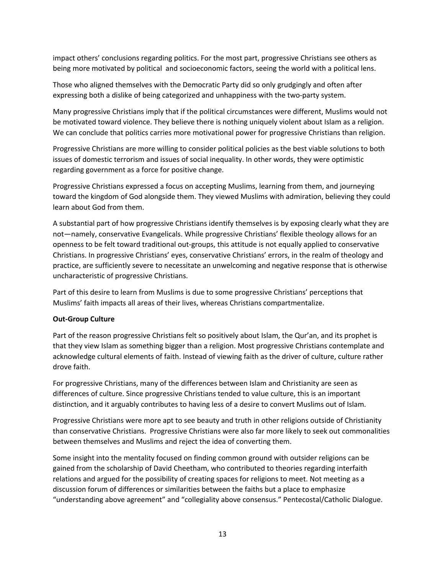impact others' conclusions regarding politics. For the most part, progressive Christians see others as being more motivated by political and socioeconomic factors, seeing the world with a political lens.

Those who aligned themselves with the Democratic Party did so only grudgingly and often after expressing both a dislike of being categorized and unhappiness with the two-party system.

Many progressive Christians imply that if the political circumstances were different, Muslims would not be motivated toward violence. They believe there is nothing uniquely violent about Islam as a religion. We can conclude that politics carries more motivational power for progressive Christians than religion.

Progressive Christians are more willing to consider political policies as the best viable solutions to both issues of domestic terrorism and issues of social inequality. In other words, they were optimistic regarding government as a force for positive change.

Progressive Christians expressed a focus on accepting Muslims, learning from them, and journeying toward the kingdom of God alongside them. They viewed Muslims with admiration, believing they could learn about God from them.

A substantial part of how progressive Christians identify themselves is by exposing clearly what they are not—namely, conservative Evangelicals. While progressive Christians' flexible theology allows for an openness to be felt toward traditional out-groups, this attitude is not equally applied to conservative Christians. In progressive Christians' eyes, conservative Christians' errors, in the realm of theology and practice, are sufficiently severe to necessitate an unwelcoming and negative response that is otherwise uncharacteristic of progressive Christians.

Part of this desire to learn from Muslims is due to some progressive Christians' perceptions that Muslims' faith impacts all areas of their lives, whereas Christians compartmentalize.

#### **Out-Group Culture**

Part of the reason progressive Christians felt so positively about Islam, the Qur'an, and its prophet is that they view Islam as something bigger than a religion. Most progressive Christians contemplate and acknowledge cultural elements of faith. Instead of viewing faith as the driver of culture, culture rather drove faith.

For progressive Christians, many of the differences between Islam and Christianity are seen as differences of culture. Since progressive Christians tended to value culture, this is an important distinction, and it arguably contributes to having less of a desire to convert Muslims out of Islam.

Progressive Christians were more apt to see beauty and truth in other religions outside of Christianity than conservative Christians. Progressive Christians were also far more likely to seek out commonalities between themselves and Muslims and reject the idea of converting them.

Some insight into the mentality focused on finding common ground with outsider religions can be gained from the scholarship of David Cheetham, who contributed to theories regarding interfaith relations and argued for the possibility of creating spaces for religions to meet. Not meeting as a discussion forum of differences or similarities between the faiths but a place to emphasize "understanding above agreement" and "collegiality above consensus." Pentecostal/Catholic Dialogue.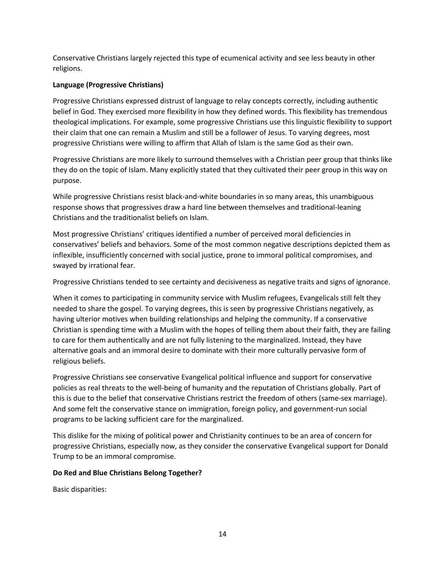Conservative Christians largely rejected this type of ecumenical activity and see less beauty in other religions.

### **Language (Progressive Christians)**

Progressive Christians expressed distrust of language to relay concepts correctly, including authentic belief in God. They exercised more flexibility in how they defined words. This flexibility has tremendous theological implications. For example, some progressive Christians use this linguistic flexibility to support their claim that one can remain a Muslim and still be a follower of Jesus. To varying degrees, most progressive Christians were willing to affirm that Allah of Islam is the same God as their own.

Progressive Christians are more likely to surround themselves with a Christian peer group that thinks like they do on the topic of Islam. Many explicitly stated that they cultivated their peer group in this way on purpose.

While progressive Christians resist black-and-white boundaries in so many areas, this unambiguous response shows that progressives draw a hard line between themselves and traditional-leaning Christians and the traditionalist beliefs on Islam.

Most progressive Christians' critiques identified a number of perceived moral deficiencies in conservatives' beliefs and behaviors. Some of the most common negative descriptions depicted them as inflexible, insufficiently concerned with social justice, prone to immoral political compromises, and swayed by irrational fear.

Progressive Christians tended to see certainty and decisiveness as negative traits and signs of ignorance.

When it comes to participating in community service with Muslim refugees, Evangelicals still felt they needed to share the gospel. To varying degrees, this is seen by progressive Christians negatively, as having ulterior motives when building relationships and helping the community. If a conservative Christian is spending time with a Muslim with the hopes of telling them about their faith, they are failing to care for them authentically and are not fully listening to the marginalized. Instead, they have alternative goals and an immoral desire to dominate with their more culturally pervasive form of religious beliefs.

Progressive Christians see conservative Evangelical political influence and support for conservative policies as real threats to the well-being of humanity and the reputation of Christians globally. Part of this is due to the belief that conservative Christians restrict the freedom of others (same-sex marriage). And some felt the conservative stance on immigration, foreign policy, and government-run social programs to be lacking sufficient care for the marginalized.

This dislike for the mixing of political power and Christianity continues to be an area of concern for progressive Christians, especially now, as they consider the conservative Evangelical support for Donald Trump to be an immoral compromise.

#### **Do Red and Blue Christians Belong Together?**

Basic disparities: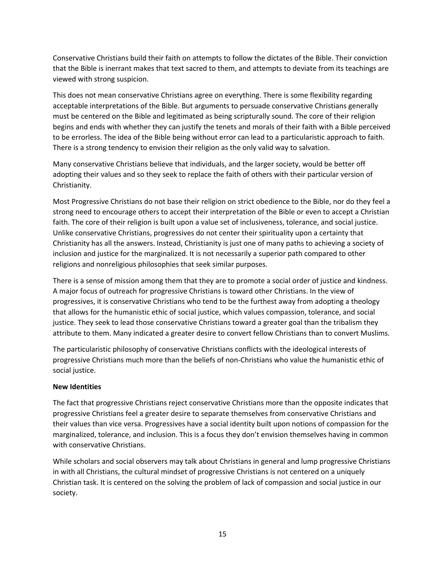Conservative Christians build their faith on attempts to follow the dictates of the Bible. Their conviction that the Bible is inerrant makes that text sacred to them, and attempts to deviate from its teachings are viewed with strong suspicion.

This does not mean conservative Christians agree on everything. There is some flexibility regarding acceptable interpretations of the Bible. But arguments to persuade conservative Christians generally must be centered on the Bible and legitimated as being scripturally sound. The core of their religion begins and ends with whether they can justify the tenets and morals of their faith with a Bible perceived to be errorless. The idea of the Bible being without error can lead to a particularistic approach to faith. There is a strong tendency to envision their religion as the only valid way to salvation.

Many conservative Christians believe that individuals, and the larger society, would be better off adopting their values and so they seek to replace the faith of others with their particular version of Christianity.

Most Progressive Christians do not base their religion on strict obedience to the Bible, nor do they feel a strong need to encourage others to accept their interpretation of the Bible or even to accept a Christian faith. The core of their religion is built upon a value set of inclusiveness, tolerance, and social justice. Unlike conservative Christians, progressives do not center their spirituality upon a certainty that Christianity has all the answers. Instead, Christianity is just one of many paths to achieving a society of inclusion and justice for the marginalized. It is not necessarily a superior path compared to other religions and nonreligious philosophies that seek similar purposes.

There is a sense of mission among them that they are to promote a social order of justice and kindness. A major focus of outreach for progressive Christians is toward other Christians. In the view of progressives, it is conservative Christians who tend to be the furthest away from adopting a theology that allows for the humanistic ethic of social justice, which values compassion, tolerance, and social justice. They seek to lead those conservative Christians toward a greater goal than the tribalism they attribute to them. Many indicated a greater desire to convert fellow Christians than to convert Muslims.

The particularistic philosophy of conservative Christians conflicts with the ideological interests of progressive Christians much more than the beliefs of non-Christians who value the humanistic ethic of social justice.

#### **New Identities**

The fact that progressive Christians reject conservative Christians more than the opposite indicates that progressive Christians feel a greater desire to separate themselves from conservative Christians and their values than vice versa. Progressives have a social identity built upon notions of compassion for the marginalized, tolerance, and inclusion. This is a focus they don't envision themselves having in common with conservative Christians.

While scholars and social observers may talk about Christians in general and lump progressive Christians in with all Christians, the cultural mindset of progressive Christians is not centered on a uniquely Christian task. It is centered on the solving the problem of lack of compassion and social justice in our society.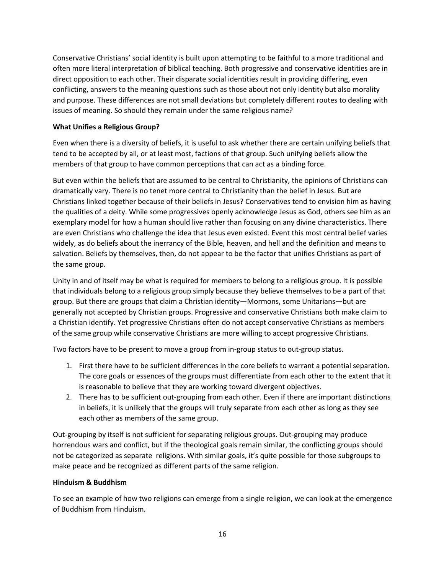Conservative Christians' social identity is built upon attempting to be faithful to a more traditional and often more literal interpretation of biblical teaching. Both progressive and conservative identities are in direct opposition to each other. Their disparate social identities result in providing differing, even conflicting, answers to the meaning questions such as those about not only identity but also morality and purpose. These differences are not small deviations but completely different routes to dealing with issues of meaning. So should they remain under the same religious name?

### **What Unifies a Religious Group?**

Even when there is a diversity of beliefs, it is useful to ask whether there are certain unifying beliefs that tend to be accepted by all, or at least most, factions of that group. Such unifying beliefs allow the members of that group to have common perceptions that can act as a binding force.

But even within the beliefs that are assumed to be central to Christianity, the opinions of Christians can dramatically vary. There is no tenet more central to Christianity than the belief in Jesus. But are Christians linked together because of their beliefs in Jesus? Conservatives tend to envision him as having the qualities of a deity. While some progressives openly acknowledge Jesus as God, others see him as an exemplary model for how a human should live rather than focusing on any divine characteristics. There are even Christians who challenge the idea that Jesus even existed. Event this most central belief varies widely, as do beliefs about the inerrancy of the Bible, heaven, and hell and the definition and means to salvation. Beliefs by themselves, then, do not appear to be the factor that unifies Christians as part of the same group.

Unity in and of itself may be what is required for members to belong to a religious group. It is possible that individuals belong to a religious group simply because they believe themselves to be a part of that group. But there are groups that claim a Christian identity—Mormons, some Unitarians—but are generally not accepted by Christian groups. Progressive and conservative Christians both make claim to a Christian identify. Yet progressive Christians often do not accept conservative Christians as members of the same group while conservative Christians are more willing to accept progressive Christians.

Two factors have to be present to move a group from in-group status to out-group status.

- 1. First there have to be sufficient differences in the core beliefs to warrant a potential separation. The core goals or essences of the groups must differentiate from each other to the extent that it is reasonable to believe that they are working toward divergent objectives.
- 2. There has to be sufficient out-grouping from each other. Even if there are important distinctions in beliefs, it is unlikely that the groups will truly separate from each other as long as they see each other as members of the same group.

Out-grouping by itself is not sufficient for separating religious groups. Out-grouping may produce horrendous wars and conflict, but if the theological goals remain similar, the conflicting groups should not be categorized as separate religions. With similar goals, it's quite possible for those subgroups to make peace and be recognized as different parts of the same religion.

#### **Hinduism & Buddhism**

To see an example of how two religions can emerge from a single religion, we can look at the emergence of Buddhism from Hinduism.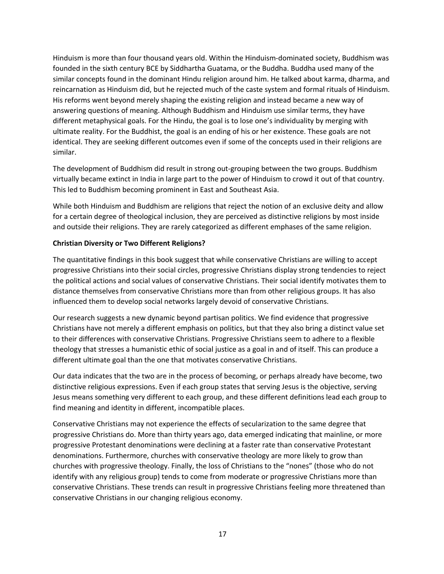Hinduism is more than four thousand years old. Within the Hinduism-dominated society, Buddhism was founded in the sixth century BCE by Siddhartha Guatama, or the Buddha. Buddha used many of the similar concepts found in the dominant Hindu religion around him. He talked about karma, dharma, and reincarnation as Hinduism did, but he rejected much of the caste system and formal rituals of Hinduism. His reforms went beyond merely shaping the existing religion and instead became a new way of answering questions of meaning. Although Buddhism and Hinduism use similar terms, they have different metaphysical goals. For the Hindu, the goal is to lose one's individuality by merging with ultimate reality. For the Buddhist, the goal is an ending of his or her existence. These goals are not identical. They are seeking different outcomes even if some of the concepts used in their religions are similar.

The development of Buddhism did result in strong out-grouping between the two groups. Buddhism virtually became extinct in India in large part to the power of Hinduism to crowd it out of that country. This led to Buddhism becoming prominent in East and Southeast Asia.

While both Hinduism and Buddhism are religions that reject the notion of an exclusive deity and allow for a certain degree of theological inclusion, they are perceived as distinctive religions by most inside and outside their religions. They are rarely categorized as different emphases of the same religion.

#### **Christian Diversity or Two Different Religions?**

The quantitative findings in this book suggest that while conservative Christians are willing to accept progressive Christians into their social circles, progressive Christians display strong tendencies to reject the political actions and social values of conservative Christians. Their social identify motivates them to distance themselves from conservative Christians more than from other religious groups. It has also influenced them to develop social networks largely devoid of conservative Christians.

Our research suggests a new dynamic beyond partisan politics. We find evidence that progressive Christians have not merely a different emphasis on politics, but that they also bring a distinct value set to their differences with conservative Christians. Progressive Christians seem to adhere to a flexible theology that stresses a humanistic ethic of social justice as a goal in and of itself. This can produce a different ultimate goal than the one that motivates conservative Christians.

Our data indicates that the two are in the process of becoming, or perhaps already have become, two distinctive religious expressions. Even if each group states that serving Jesus is the objective, serving Jesus means something very different to each group, and these different definitions lead each group to find meaning and identity in different, incompatible places.

Conservative Christians may not experience the effects of secularization to the same degree that progressive Christians do. More than thirty years ago, data emerged indicating that mainline, or more progressive Protestant denominations were declining at a faster rate than conservative Protestant denominations. Furthermore, churches with conservative theology are more likely to grow than churches with progressive theology. Finally, the loss of Christians to the "nones" (those who do not identify with any religious group) tends to come from moderate or progressive Christians more than conservative Christians. These trends can result in progressive Christians feeling more threatened than conservative Christians in our changing religious economy.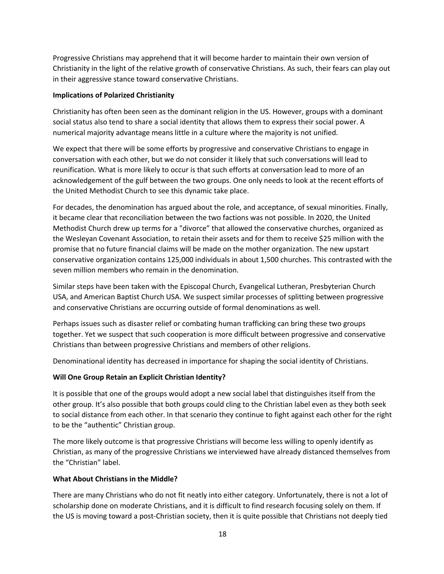Progressive Christians may apprehend that it will become harder to maintain their own version of Christianity in the light of the relative growth of conservative Christians. As such, their fears can play out in their aggressive stance toward conservative Christians.

#### **Implications of Polarized Christianity**

Christianity has often been seen as the dominant religion in the US. However, groups with a dominant social status also tend to share a social identity that allows them to express their social power. A numerical majority advantage means little in a culture where the majority is not unified.

We expect that there will be some efforts by progressive and conservative Christians to engage in conversation with each other, but we do not consider it likely that such conversations will lead to reunification. What is more likely to occur is that such efforts at conversation lead to more of an acknowledgement of the gulf between the two groups. One only needs to look at the recent efforts of the United Methodist Church to see this dynamic take place.

For decades, the denomination has argued about the role, and acceptance, of sexual minorities. Finally, it became clear that reconciliation between the two factions was not possible. In 2020, the United Methodist Church drew up terms for a "divorce" that allowed the conservative churches, organized as the Wesleyan Covenant Association, to retain their assets and for them to receive \$25 million with the promise that no future financial claims will be made on the mother organization. The new upstart conservative organization contains 125,000 individuals in about 1,500 churches. This contrasted with the seven million members who remain in the denomination.

Similar steps have been taken with the Episcopal Church, Evangelical Lutheran, Presbyterian Church USA, and American Baptist Church USA. We suspect similar processes of splitting between progressive and conservative Christians are occurring outside of formal denominations as well.

Perhaps issues such as disaster relief or combating human trafficking can bring these two groups together. Yet we suspect that such cooperation is more difficult between progressive and conservative Christians than between progressive Christians and members of other religions.

Denominational identity has decreased in importance for shaping the social identity of Christians.

## **Will One Group Retain an Explicit Christian Identity?**

It is possible that one of the groups would adopt a new social label that distinguishes itself from the other group. It's also possible that both groups could cling to the Christian label even as they both seek to social distance from each other. In that scenario they continue to fight against each other for the right to be the "authentic" Christian group.

The more likely outcome is that progressive Christians will become less willing to openly identify as Christian, as many of the progressive Christians we interviewed have already distanced themselves from the "Christian" label.

#### **What About Christians in the Middle?**

There are many Christians who do not fit neatly into either category. Unfortunately, there is not a lot of scholarship done on moderate Christians, and it is difficult to find research focusing solely on them. If the US is moving toward a post-Christian society, then it is quite possible that Christians not deeply tied